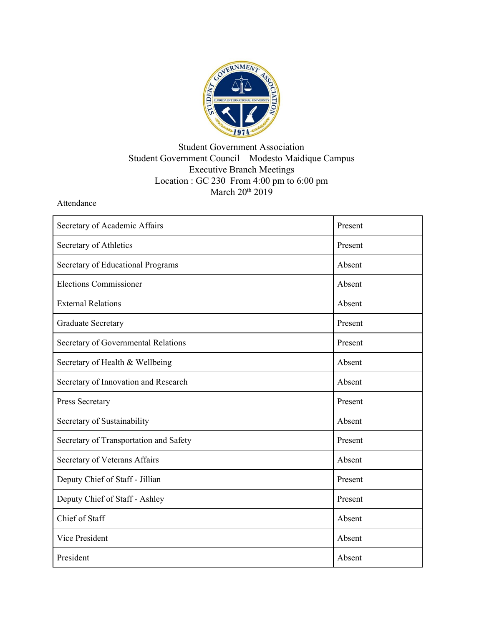

## Student Government Association Student Government Council – Modesto Maidique Campus Executive Branch Meetings Location : GC 230 From 4:00 pm to 6:00 pm March 20<sup>th</sup> 2019

Attendance

| Secretary of Academic Affairs          | Present |
|----------------------------------------|---------|
| Secretary of Athletics                 | Present |
| Secretary of Educational Programs      | Absent  |
| <b>Elections Commissioner</b>          | Absent  |
| <b>External Relations</b>              | Absent  |
| <b>Graduate Secretary</b>              | Present |
| Secretary of Governmental Relations    | Present |
| Secretary of Health & Wellbeing        | Absent  |
| Secretary of Innovation and Research   | Absent  |
| Press Secretary                        | Present |
| Secretary of Sustainability            | Absent  |
| Secretary of Transportation and Safety | Present |
| Secretary of Veterans Affairs          | Absent  |
| Deputy Chief of Staff - Jillian        | Present |
| Deputy Chief of Staff - Ashley         | Present |
| Chief of Staff                         | Absent  |
| <b>Vice President</b>                  | Absent  |
| President                              | Absent  |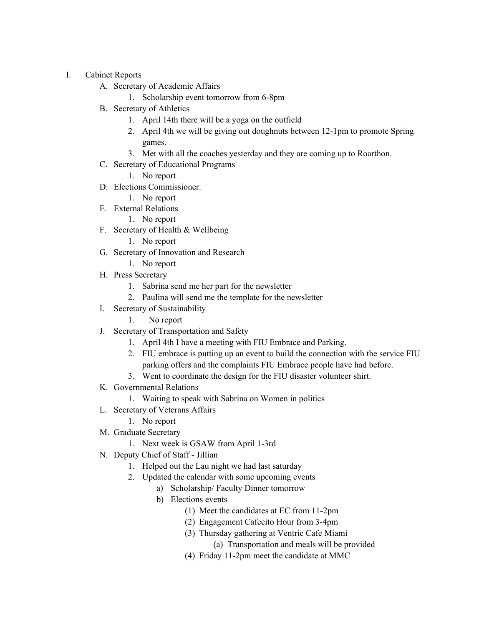- I. Cabinet Reports
	- A. Secretary of Academic Affairs
		- 1. Scholarship event tomorrow from 6-8pm
	- B. Secretary of Athletics
		- 1. April 14th there will be a yoga on the outfield
		- 2. April 4th we will be giving out doughnuts between 12-1pm to promote Spring games.
		- 3. Met with all the coaches yesterday and they are coming up to Roarthon.
	- C. Secretary of Educational Programs
		- 1. No report
	- D. Elections Commissioner.
		- 1. No report
	- E. External Relations
		- 1. No report
	- F. Secretary of Health & Wellbeing
		- 1. No report
	- G. Secretary of Innovation and Research
		- 1. No report
	- H. Press Secretary
		- 1. Sabrina send me her part for the newsletter
		- 2. Paulina will send me the template for the newsletter
	- I. Secretary of Sustainability
		- 1. No report
	- J. Secretary of Transportation and Safety
		- 1. April 4th I have a meeting with FIU Embrace and Parking.
		- 2. FIU embrace is putting up an event to build the connection with the service FIU parking offers and the complaints FIU Embrace people have had before.
		- 3. Went to coordinate the design for the FIU disaster volunteer shirt.
	- K. Governmental Relations
		- 1. Waiting to speak with Sabrina on Women in politics
	- L. Secretary of Veterans Affairs
		- 1. No report
	- M. Graduate Secretary
		- 1. Next week is GSAW from April 1-3rd
	- N. Deputy Chief of Staff Jillian
		- 1. Helped out the Lau night we had last saturday
		- 2. Updated the calendar with some upcoming events
			- a) Scholarship/ Faculty Dinner tomorrow
			- b) Elections events
				- (1) Meet the candidates at EC from 11-2pm
				- (2) Engagement Cafecito Hour from 3-4pm
				- (3) Thursday gathering at Ventric Cafe Miami
					- (a) Transportation and meals will be provided
				- (4) Friday 11-2pm meet the candidate at MMC